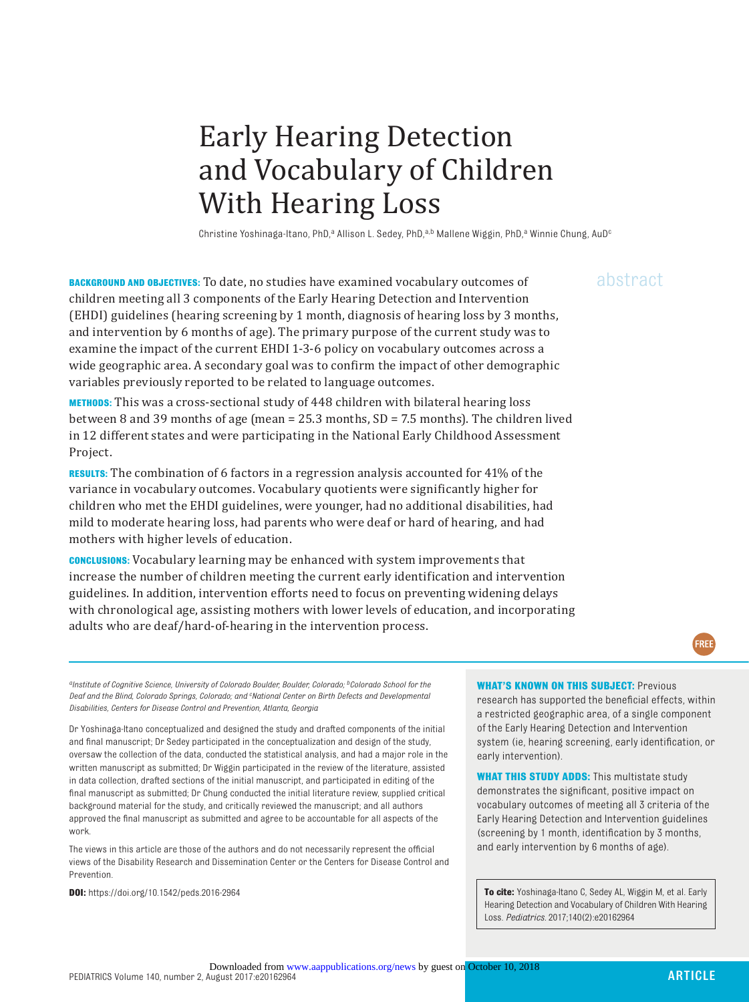# Early Hearing Detection and Vocabulary of Children With Hearing Loss

Christine Yoshinaga-Itano, PhD,<sup>a</sup> Allison L. Sedey, PhD,<sup>a,b</sup> Mallene Wiggin, PhD,<sup>a</sup> Winnie Chung, AuD<sup>c</sup>

**BACKGROUND AND OBJECTIVES:** To date, no studies have examined vocabulary outcomes of abstract children meeting all 3 components of the Early Hearing Detection and Intervention (EHDI) guidelines (hearing screening by 1 month, diagnosis of hearing loss by 3 months, and intervention by 6 months of age). The primary purpose of the current study was to examine the impact of the current EHDI 1-3-6 policy on vocabulary outcomes across a wide geographic area. A secondary goal was to confirm the impact of other demographic variables previously reported to be related to language outcomes.

**METHODS:** This was a cross-sectional study of 448 children with bilateral hearing loss between 8 and 39 months of age (mean = 25.3 months, SD = 7.5 months). The children lived in 12 different states and were participating in the National Early Childhood Assessment Project.

**RESULTS:** The combination of 6 factors in a regression analysis accounted for 41% of the variance in vocabulary outcomes. Vocabulary quotients were significantly higher for children who met the EHDI guidelines, were younger, had no additional disabilities, had mild to moderate hearing loss, had parents who were deaf or hard of hearing, and had mothers with higher levels of education.

**CONCLUSIONS:** Vocabulary learning may be enhanced with system improvements that increase the number of children meeting the current early identification and intervention guidelines. In addition, intervention efforts need to focus on preventing widening delays with chronological age, assisting mothers with lower levels of education, and incorporating adults who are deaf/hard-of-hearing in the intervention process.

#### **WHAT'S KNOWN ON THIS SUBJECT: Previous**

research has supported the beneficial effects, within a restricted geographic area, of a single component of the Early Hearing Detection and Intervention system (ie, hearing screening, early identification, or early intervention).

**WHAT THIS STUDY ADDS:** This multistate study demonstrates the significant, positive impact on vocabulary outcomes of meeting all 3 criteria of the Early Hearing Detection and Intervention guidelines (screening by 1 month, identification by 3 months, and early intervention by 6 months of age).

**DOI:**<https://doi.org/10.1542/peds.2016-2964> **To cite: <b>Yoshinaga-Itano C, Sedey AL, Wiggin M**, et al. Early Hearing Detection and Vocabulary of Children With Hearing Loss. *Pediatrics.* 2017;140(2):e20162964

*aInstitute of Cognitive Science, University of Colorado Boulder, Boulder, Colorado; bColorado School for the Deaf and the Blind, Colorado Springs, Colorado; and c National Center on Birth Defects and Developmental Disabilities, Centers for Disease Control and Prevention, Atlanta, Georgia*

Dr Yoshinaga-Itano conceptualized and designed the study and drafted components of the initial and final manuscript; Dr Sedey participated in the conceptualization and design of the study, oversaw the collection of the data, conducted the statistical analysis, and had a major role in the written manuscript as submitted; Dr Wiggin participated in the review of the literature, assisted in data collection, drafted sections of the initial manuscript, and participated in editing of the final manuscript as submitted; Dr Chung conducted the initial literature review, supplied critical background material for the study, and critically reviewed the manuscript; and all authors approved the final manuscript as submitted and agree to be accountable for all aspects of the work.

The views in this article are those of the authors and do not necessarily represent the official views of the Disability Research and Dissemination Center or the Centers for Disease Control and Prevention.

FREE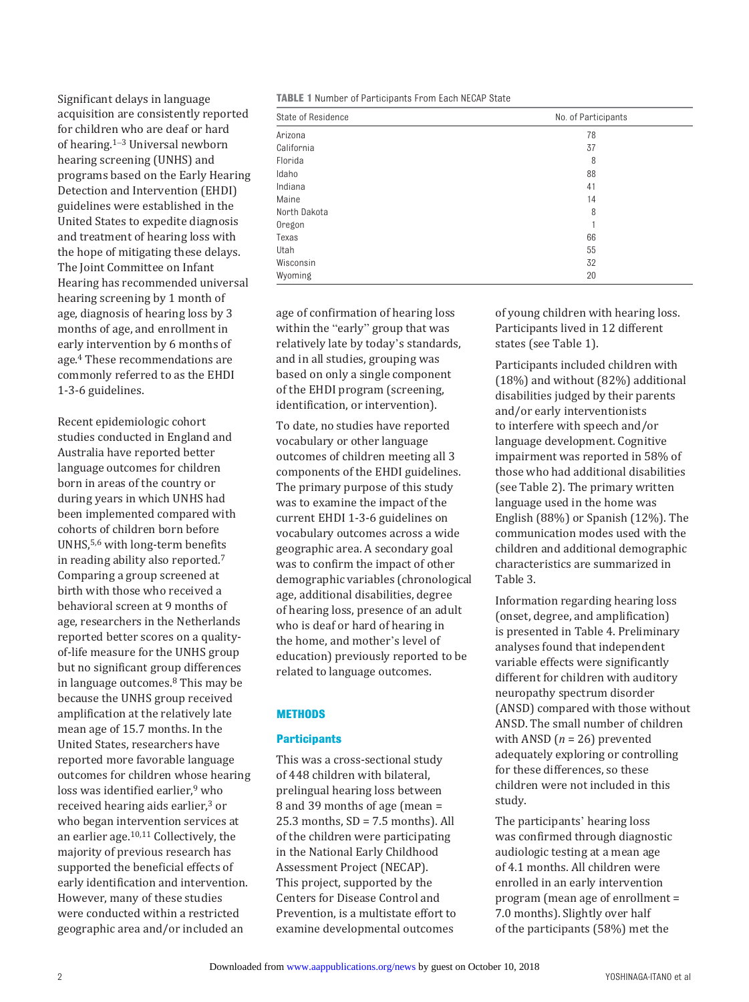Significant delays in language acquisition are consistently reported for children who are deaf or hard of hearing. [1](#page-8-0)–[3](#page-8-1) Universal newborn hearing screening (UNHS) and programs based on the Early Hearing Detection and Intervention (EHDI) guidelines were established in the United States to expedite diagnosis and treatment of hearing loss with the hope of mitigating these delays. The Joint Committee on Infant Hearing has recommended universal hearing screening by 1 month of age, diagnosis of hearing loss by 3 months of age, and enrollment in early intervention by 6 months of age. [4](#page-8-2) These recommendations are commonly referred to as the EHDI 1-3-6 guidelines.

Recent epidemiologic cohort studies conducted in England and Australia have reported better language outcomes for children born in areas of the country or during years in which UNHS had been implemented compared with cohorts of children born before UNHS,[5](#page-8-3),[6](#page-8-4) with long-term benefits in reading ability also reported. [7](#page-8-5) Comparing a group screened at birth with those who received a behavioral screen at 9 months of age, researchers in the Netherlands reported better scores on a qualityof-life measure for the UNHS group but no significant group differences in language outcomes. [8](#page-8-6) This may be because the UNHS group received amplification at the relatively late mean age of 15.7 months. In the United States, researchers have reported more favorable language outcomes for children whose hearing loss was identified earlier,<sup>9</sup> who received hearing aids earlier,<sup>[3](#page-8-1)</sup> or who began intervention services at an earlier age. [10](#page-8-8),[11](#page-8-9) Collectively, the majority of previous research has supported the beneficial effects of early identification and intervention. However, many of these studies were conducted within a restricted geographic area and/or included an

**TABLE 1** Number of Participants From Each NECAP State

| State of Residence | No. of Participants |  |  |
|--------------------|---------------------|--|--|
| Arizona            | 78                  |  |  |
| California         | 37                  |  |  |
| Florida            | 8                   |  |  |
| Idaho              | 88                  |  |  |
| Indiana            | 41                  |  |  |
| Maine              | 14                  |  |  |
| North Dakota       | 8                   |  |  |
| Oregon             |                     |  |  |
| Texas              | 66                  |  |  |
| Utah               | 55                  |  |  |
| Wisconsin          | 32                  |  |  |
| Wyoming            | 20                  |  |  |

age of confirmation of hearing loss within the "early" group that was relatively late by today's standards, and in all studies, grouping was based on only a single component of the EHDI program (screening, identification, or intervention).

To date, no studies have reported vocabulary or other language outcomes of children meeting all 3 components of the EHDI guidelines. The primary purpose of this study was to examine the impact of the current EHDI 1-3-6 guidelines on vocabulary outcomes across a wide geographic area. A secondary goal was to confirm the impact of other demographic variables (chronological age, additional disabilities, degree of hearing loss, presence of an adult who is deaf or hard of hearing in the home, and mother's level of education) previously reported to be related to language outcomes.

# **Methods**

# **Participants**

This was a cross-sectional study of 448 children with bilateral, prelingual hearing loss between 8 and 39 months of age (mean =  $25.3$  months,  $SD = 7.5$  months). All of the children were participating in the National Early Childhood Assessment Project (NECAP). This project, supported by the Centers for Disease Control and Prevention, is a multistate effort to examine developmental outcomes

of young children with hearing loss. Participants lived in 12 different states (see Table 1).

Participants included children with (18%) and without (82%) additional disabilities judged by their parents and/or early interventionists to interfere with speech and/or language development. Cognitive impairment was reported in 58% of those who had additional disabilities (see Table 2). The primary written language used in the home was English (88%) or Spanish (12%). The communication modes used with the children and additional demographic characteristics are summarized in Table 3.

Information regarding hearing loss (onset, degree, and amplification) is presented in Table 4. Preliminary analyses found that independent variable effects were significantly different for children with auditory neuropathy spectrum disorder (ANSD) compared with those without ANSD. The small number of children with ANSD (*n* = 26) prevented adequately exploring or controlling for these differences, so these children were not included in this study.

The participants' hearing loss was confirmed through diagnostic audiologic testing at a mean age of 4.1 months. All children were enrolled in an early intervention program (mean age of enrollment = 7.0 months). Slightly over half of the participants (58%) met the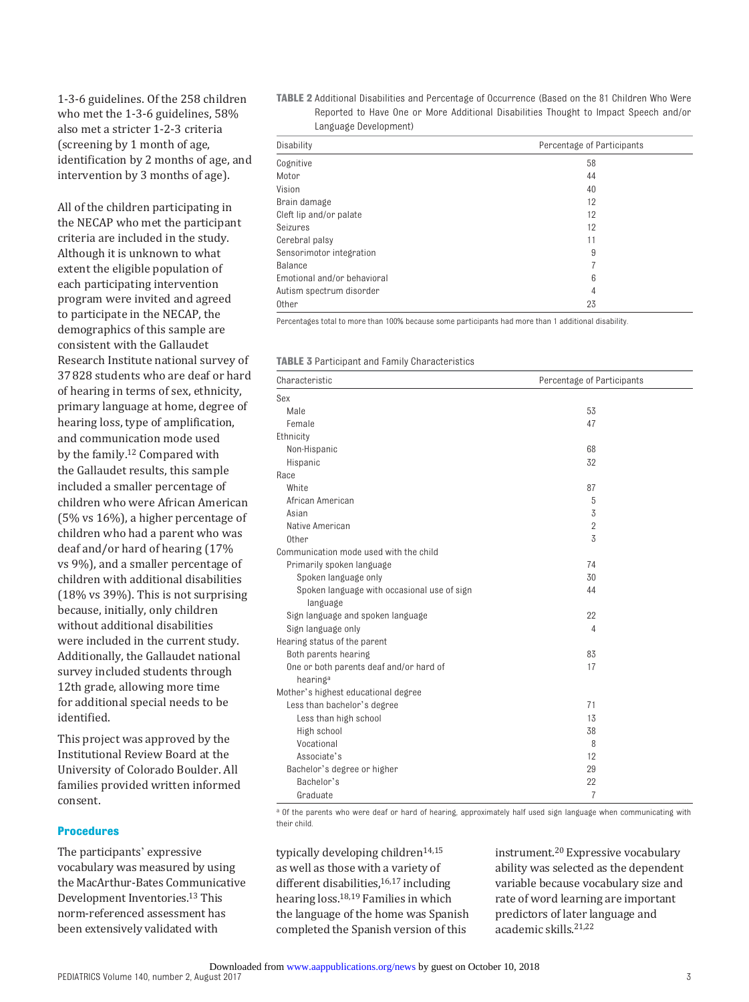1-3-6 guidelines. Of the 258 children who met the 1-3-6 guidelines, 58% also met a stricter 1-2-3 criteria (screening by 1 month of age, identification by 2 months of age, and intervention by 3 months of age).

All of the children participating in the NECAP who met the participant criteria are included in the study. Although it is unknown to what extent the eligible population of each participating intervention program were invited and agreed to participate in the NECAP, the demographics of this sample are consistent with the Gallaudet Research Institute national survey of 37828 students who are deaf or hard of hearing in terms of sex, ethnicity, primary language at home, degree of hearing loss, type of amplification, and communication mode used by the family. [12](#page-8-10) Compared with the Gallaudet results, this sample included a smaller percentage of children who were African American (5% vs 16%), a higher percentage of children who had a parent who was deaf and/or hard of hearing (17% vs 9%), and a smaller percentage of children with additional disabilities (18% vs 39%). This is not surprising because, initially, only children without additional disabilities were included in the current study. Additionally, the Gallaudet national survey included students through 12th grade, allowing more time for additional special needs to be identified.

This project was approved by the Institutional Review Board at the University of Colorado Boulder. All families provided written informed consent.

## **Procedures**

The participants' expressive vocabulary was measured by using the MacArthur-Bates Communicative Development Inventories. [13](#page-8-11) This norm-referenced assessment has been extensively validated with

**TABLE 2** Additional Disabilities and Percentage of Occurrence (Based on the 81 Children Who Were Reported to Have One or More Additional Disabilities Thought to Impact Speech and/or Language Development)

| Disability                  | Percentage of Participants |  |  |
|-----------------------------|----------------------------|--|--|
| Cognitive                   | 58                         |  |  |
| Motor                       | 44                         |  |  |
| Vision                      | 40                         |  |  |
| Brain damage                | 12                         |  |  |
| Cleft lip and/or palate     | 12                         |  |  |
| Seizures                    | 12                         |  |  |
| Cerebral palsy              | 11                         |  |  |
| Sensorimotor integration    | 9                          |  |  |
| <b>Balance</b>              |                            |  |  |
| Emotional and/or behavioral | 6                          |  |  |
| Autism spectrum disorder    | 4                          |  |  |
| <b>Other</b>                | 23                         |  |  |
|                             |                            |  |  |

Percentages total to more than 100% because some participants had more than 1 additional disability.

| Characteristic                              | Percentage of Participants |  |  |
|---------------------------------------------|----------------------------|--|--|
| Sex                                         |                            |  |  |
| Male                                        | 53                         |  |  |
| Female                                      | 47                         |  |  |
| Ethnicity                                   |                            |  |  |
| Non-Hispanic                                | 68                         |  |  |
| Hispanic                                    | 32                         |  |  |
| Race                                        |                            |  |  |
| White                                       | 87                         |  |  |
| African American                            | 5                          |  |  |
| Asian                                       | 3                          |  |  |
| Native American                             | $\overline{2}$             |  |  |
| Other                                       | 3                          |  |  |
| Communication mode used with the child      |                            |  |  |
| Primarily spoken language                   | 74                         |  |  |
| Spoken language only                        | 30                         |  |  |
| Spoken language with occasional use of sign | 44                         |  |  |
| language                                    |                            |  |  |
| Sign language and spoken language           | 22                         |  |  |
| Sign language only                          | 4                          |  |  |
| Hearing status of the parent                |                            |  |  |
| Both parents hearing                        | 83                         |  |  |
| One or both parents deaf and/or hard of     | 17                         |  |  |
| hearing <sup>a</sup>                        |                            |  |  |
| Mother's highest educational degree         |                            |  |  |
| Less than bachelor's degree                 | 71                         |  |  |
| Less than high school                       | 13                         |  |  |
| High school                                 | 38                         |  |  |
| Vocational                                  | 8                          |  |  |
| Associate's                                 | 12                         |  |  |
| Bachelor's degree or higher                 | 29                         |  |  |
| Bachelor's                                  | 22                         |  |  |
| Graduate                                    | $\overline{7}$             |  |  |

<sup>a</sup> Of the parents who were deaf or hard of hearing, approximately half used sign language when communicating with their child.

typically developing children<sup>[14](#page-8-12),15</sup> as well as those with a variety of different disabilities,<sup>16,[17](#page-8-15)</sup> including hearing loss. [18](#page-8-16)[,19](#page-8-17) Families in which the language of the home was Spanish completed the Spanish version of this

instrument. [20](#page-8-18) Expressive vocabulary ability was selected as the dependent variable because vocabulary size and rate of word learning are important predictors of later language and academic skills. [21,](#page-8-19)[22](#page-8-20)

3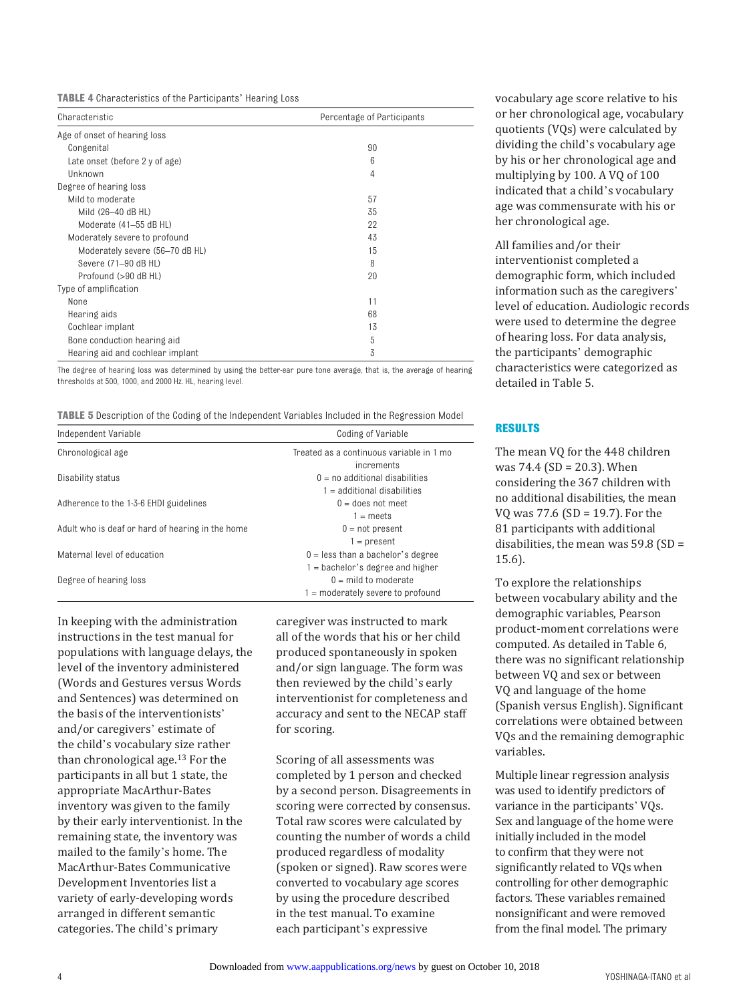**TABLE 4** Characteristics of the Participants' Hearing Loss

| Characteristic                   | Percentage of Participants |  |  |
|----------------------------------|----------------------------|--|--|
| Age of onset of hearing loss     |                            |  |  |
| Congenital                       | 90                         |  |  |
| Late onset (before 2 y of age)   | 6                          |  |  |
| Unknown                          | 4                          |  |  |
| Degree of hearing loss           |                            |  |  |
| Mild to moderate                 | 57                         |  |  |
| Mild (26-40 dB HL)               | 35                         |  |  |
| Moderate (41-55 dB HL)           | 22                         |  |  |
| Moderately severe to profound    | 43                         |  |  |
| Moderately severe (56-70 dB HL)  | 15                         |  |  |
| Severe (71-90 dB HL)             | 8                          |  |  |
| Profound (>90 dB HL)             | 20                         |  |  |
| Type of amplification            |                            |  |  |
| None                             | 11                         |  |  |
| Hearing aids                     | 68                         |  |  |
| Cochlear implant                 | 13                         |  |  |
| Bone conduction hearing aid      | 5                          |  |  |
| Hearing aid and cochlear implant | 3                          |  |  |

The degree of hearing loss was determined by using the better-ear pure tone average, that is, the average of hearing thresholds at 500, 1000, and 2000 Hz. HL, hearing level.

| <b>TABLE 5</b> Description of the Coding of the Independent Variables Included in the Regression Model |  |
|--------------------------------------------------------------------------------------------------------|--|
|--------------------------------------------------------------------------------------------------------|--|

| Independent Variable                             | Coding of Variable                       |  |  |
|--------------------------------------------------|------------------------------------------|--|--|
| Chronological age                                | Treated as a continuous variable in 1 mo |  |  |
|                                                  | increments                               |  |  |
| Disability status                                | $0 = no$ additional disabilities         |  |  |
|                                                  | $1$ = additional disabilities            |  |  |
| Adherence to the 1-3-6 EHDI guidelines           | $0 =$ does not meet                      |  |  |
|                                                  | $1 =$ meets                              |  |  |
| Adult who is deaf or hard of hearing in the home | $0 = not present$                        |  |  |
|                                                  | $1 = present$                            |  |  |
| Maternal level of education                      | $0 =$ less than a bachelor's degree      |  |  |
|                                                  | $1 =$ bachelor's degree and higher       |  |  |
| Degree of hearing loss                           | $0 =$ mild to moderate                   |  |  |
|                                                  | $1 =$ moderately severe to profound      |  |  |

In keeping with the administration instructions in the test manual for populations with language delays, the level of the inventory administered (Words and Gestures versus Words and Sentences) was determined on the basis of the interventionists' and/or caregivers' estimate of the child's vocabulary size rather than chronological age. [13](#page-8-11) For the participants in all but 1 state, the appropriate MacArthur-Bates inventory was given to the family by their early interventionist. In the remaining state, the inventory was mailed to the family's home. The MacArthur-Bates Communicative Development Inventories list a variety of early-developing words arranged in different semantic categories. The child's primary

caregiver was instructed to mark all of the words that his or her child produced spontaneously in spoken and/or sign language. The form was then reviewed by the child's early interventionist for completeness and accuracy and sent to the NECAP staff for scoring.

Scoring of all assessments was completed by 1 person and checked by a second person. Disagreements in scoring were corrected by consensus. Total raw scores were calculated by counting the number of words a child produced regardless of modality (spoken or signed). Raw scores were converted to vocabulary age scores by using the procedure described in the test manual. To examine each participant's expressive

vocabulary age score relative to his or her chronological age, vocabulary quotients (VQs) were calculated by dividing the child's vocabulary age by his or her chronological age and multiplying by 100. A VQ of 100 indicated that a child's vocabulary age was commensurate with his or her chronological age.

# All families and/or their interventionist completed a demographic form, which included information such as the caregivers' level of education. Audiologic records were used to determine the degree of hearing loss. For data analysis, the participants' demographic characteristics were categorized as detailed in Table 5.

#### **Results**

The mean VQ for the 448 children was 74.4 (SD = 20.3). When considering the 367 children with no additional disabilities, the mean VQ was 77.6 (SD = 19.7). For the 81 participants with additional disabilities, the mean was 59.8 (SD = 15.6).

To explore the relationships between vocabulary ability and the demographic variables, Pearson product-moment correlations were computed. As detailed in Table 6, there was no significant relationship between VQ and sex or between VQ and language of the home (Spanish versus English). Significant correlations were obtained between VQs and the remaining demographic variables.

Multiple linear regression analysis was used to identify predictors of variance in the participants' VQs. Sex and language of the home were initially included in the model to confirm that they were not significantly related to VQs when controlling for other demographic factors. These variables remained nonsignificant and were removed from the final model. The primary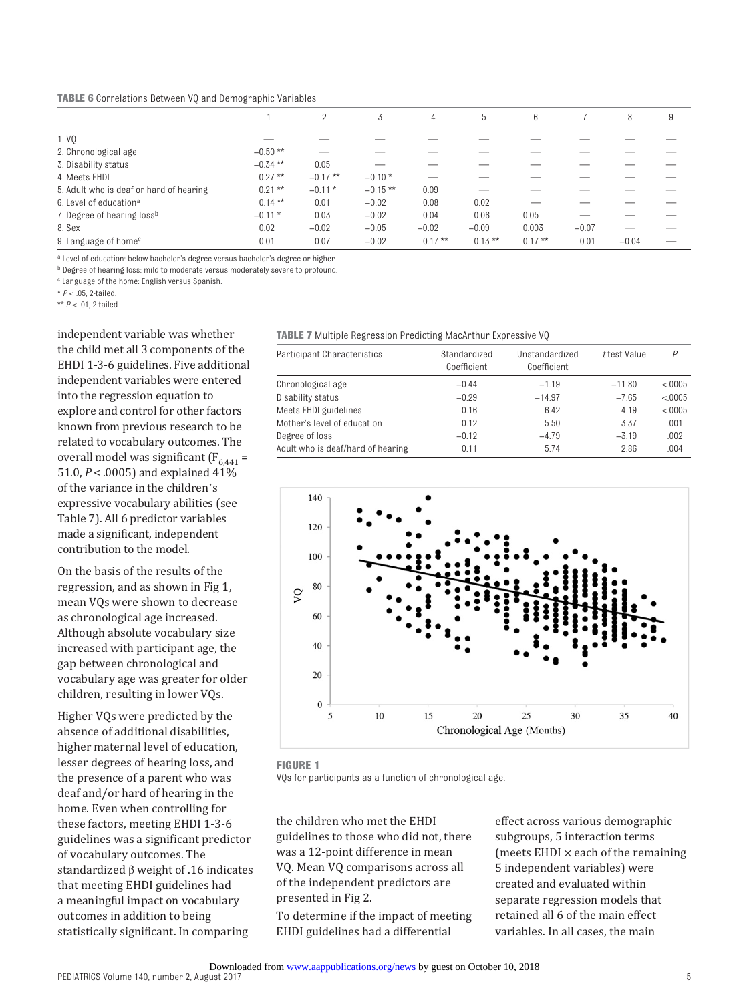**TABLE 6** Correlations Between VQ and Demographic Variables

|                                         |            | 2          | 3          | 4         | <sup>5</sup> | 6         |         | 8       | 9 |
|-----------------------------------------|------------|------------|------------|-----------|--------------|-----------|---------|---------|---|
| 1. VQ                                   |            |            |            |           |              |           |         |         |   |
| 2. Chronological age                    | $-0.50$ ** |            |            |           |              |           |         |         |   |
| 3. Disability status                    | $-0.34$ ** | 0.05       |            |           |              |           |         |         |   |
| 4. Meets EHDI                           | $0.27***$  | $-0.17$ ** | $-0.10*$   |           |              |           |         |         |   |
| 5. Adult who is deaf or hard of hearing | $0.21***$  | $-0.11*$   | $-0.15$ ** | 0.09      |              |           |         |         |   |
| 6. Level of education <sup>a</sup>      | $0.14***$  | 0.01       | $-0.02$    | 0.08      | 0.02         |           |         |         |   |
| 7. Degree of hearing lossb              | $-0.11$ *  | 0.03       | $-0.02$    | 0.04      | 0.06         | 0.05      |         |         |   |
| 8. Sex                                  | 0.02       | $-0.02$    | $-0.05$    | $-0.02$   | $-0.09$      | 0.003     | $-0.07$ |         |   |
| 9. Language of home <sup>c</sup>        | 0.01       | 0.07       | $-0.02$    | $0.17***$ | $0.13***$    | $0.17***$ | 0.01    | $-0.04$ |   |

<sup>a</sup> Level of education: below bachelor's degree versus bachelor's degree or higher.

b Degree of hearing loss: mild to moderate versus moderately severe to profound.

<sup>c</sup> Language of the home: English versus Spanish.

 $* P < 05$  2-tailed

\*\* *P* < .01, 2-tailed.

independent variable was whether the child met all 3 components of the EHDI 1-3-6 guidelines. Five additional independent variables were entered into the regression equation to explore and control for other factors known from previous research to be related to vocabulary outcomes. The overall model was significant  $(F_{6,441} =$ 51.0, *P* < .0005) and explained 41% of the variance in the children's expressive vocabulary abilities (see Table 7). All 6 predictor variables made a significant, independent contribution to the model.

On the basis of the results of the regression, and as shown in [Fig 1](#page-4-0), mean VQs were shown to decrease as chronological age increased. Although absolute vocabulary size increased with participant age, the gap between chronological and vocabulary age was greater for older children, resulting in lower VQs.

Higher VQs were predicted by the absence of additional disabilities, higher maternal level of education, lesser degrees of hearing loss, and the presence of a parent who was deaf and/or hard of hearing in the home. Even when controlling for these factors, meeting EHDI 1-3-6 guidelines was a significant predictor of vocabulary outcomes. The standardized β weight of .16 indicates that meeting EHDI guidelines had a meaningful impact on vocabulary outcomes in addition to being statistically significant. In comparing

**TABLE 7** Multiple Regression Predicting MacArthur Expressive VQ

| Participant Characteristics       | Standardized<br>Coefficient | Unstandardized<br>Coefficient | t test Value | P        |
|-----------------------------------|-----------------------------|-------------------------------|--------------|----------|
| Chronological age                 | $-0.44$                     | $-1.19$                       | $-11.80$     | < 0.0005 |
| Disability status                 | $-0.29$                     | $-14.97$                      | $-7.65$      | < 0.0005 |
| Meets EHDI guidelines             | 0.16                        | 6.42                          | 4.19         | < 0.0005 |
| Mother's level of education       | 0.12                        | 5.50                          | 3.37         | .001     |
| Degree of loss                    | $-0.12$                     | $-4.79$                       | $-3.19$      | .002     |
| Adult who is deaf/hard of hearing | 0.11                        | 5.74                          | 2.86         | .004     |



<span id="page-4-0"></span>**FIGURE 1**

VQs for participants as a function of chronological age.

the children who met the EHDI guidelines to those who did not, there was a 12-point difference in mean VQ. Mean VQ comparisons across all of the independent predictors are presented in [Fig 2.](#page-5-0)

To determine if the impact of meeting EHDI guidelines had a differential

effect across various demographic subgroups, 5 interaction terms (meets EHDI  $\times$  each of the remaining 5 independent variables) were created and evaluated within separate regression models that retained all 6 of the main effect variables. In all cases, the main

PEDIATRICS Volume 140, number 2, August 2017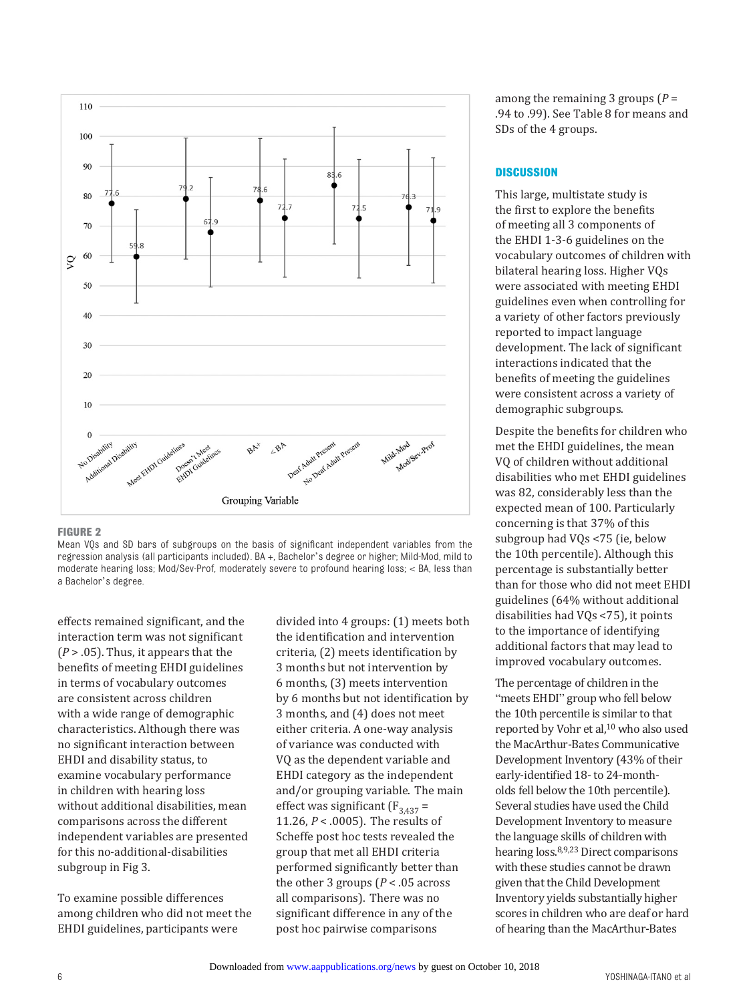

#### <span id="page-5-0"></span>**FIGURE 2**

Mean VQs and SD bars of subgroups on the basis of significant independent variables from the regression analysis (all participants included). BA +, Bachelor's degree or higher; Mild-Mod, mild to moderate hearing loss; Mod/Sev-Prof, moderately severe to profound hearing loss; < BA, less than a Bachelor's degree.

effects remained significant, and the interaction term was not significant  $(P > .05)$ . Thus, it appears that the benefits of meeting EHDI guidelines in terms of vocabulary outcomes are consistent across children with a wide range of demographic characteristics. Although there was no significant interaction between EHDI and disability status, to examine vocabulary performance in children with hearing loss without additional disabilities, mean comparisons across the different independent variables are presented for this no-additional-disabilities subgroup in [Fig 3.](#page-6-0)

To examine possible differences among children who did not meet the EHDI guidelines, participants were

divided into 4 groups: (1) meets both the identification and intervention criteria, (2) meets identification by 3 months but not intervention by 6 months, (3) meets intervention by 6 months but not identification by 3 months, and (4) does not meet either criteria. A one-way analysis of variance was conducted with VQ as the dependent variable and EHDI category as the independent and/or grouping variable. The main effect was significant  $(F_{3,437} =$ 11.26, *P* < .0005). The results of Scheffe post hoc tests revealed the group that met all EHDI criteria performed significantly better than the other 3 groups  $(P < .05$  across all comparisons). There was no significant difference in any of the post hoc pairwise comparisons

among the remaining 3 groups (*P* = .94 to .99). See Table 8 for means and SDs of the 4 groups.

# **Discussion**

This large, multistate study is the first to explore the benefits of meeting all 3 components of the EHDI 1-3-6 guidelines on the vocabulary outcomes of children with bilateral hearing loss. Higher VQs were associated with meeting EHDI guidelines even when controlling for a variety of other factors previously reported to impact language development. The lack of significant interactions indicated that the benefits of meeting the guidelines were consistent across a variety of demographic subgroups.

Despite the benefits for children who met the EHDI guidelines, the mean VQ of children without additional disabilities who met EHDI guidelines was 82, considerably less than the expected mean of 100. Particularly concerning is that 37% of this subgroup had VQs <75 (ie, below the 10th percentile). Although this percentage is substantially better than for those who did not meet EHDI guidelines (64% without additional disabilities had VQs <75), it points to the importance of identifying additional factors that may lead to improved vocabulary outcomes.

The percentage of children in the "meets EHDI" group who fell below the 10th percentile is similar to that reported by Vohr et al,<sup>10</sup> who also used the MacArthur-Bates Communicative Development Inventory (43% of their early-identified 18- to 24-montholds fell below the 10th percentile). Several studies have used the Child Development Inventory to measure the language skills of children with hearing loss. [8](#page-8-6)[,9,](#page-8-7)[23](#page-8-21) Direct comparisons with these studies cannot be drawn given that the Child Development Inventory yields substantially higher scores in children who are deaf or hard of hearing than the MacArthur-Bates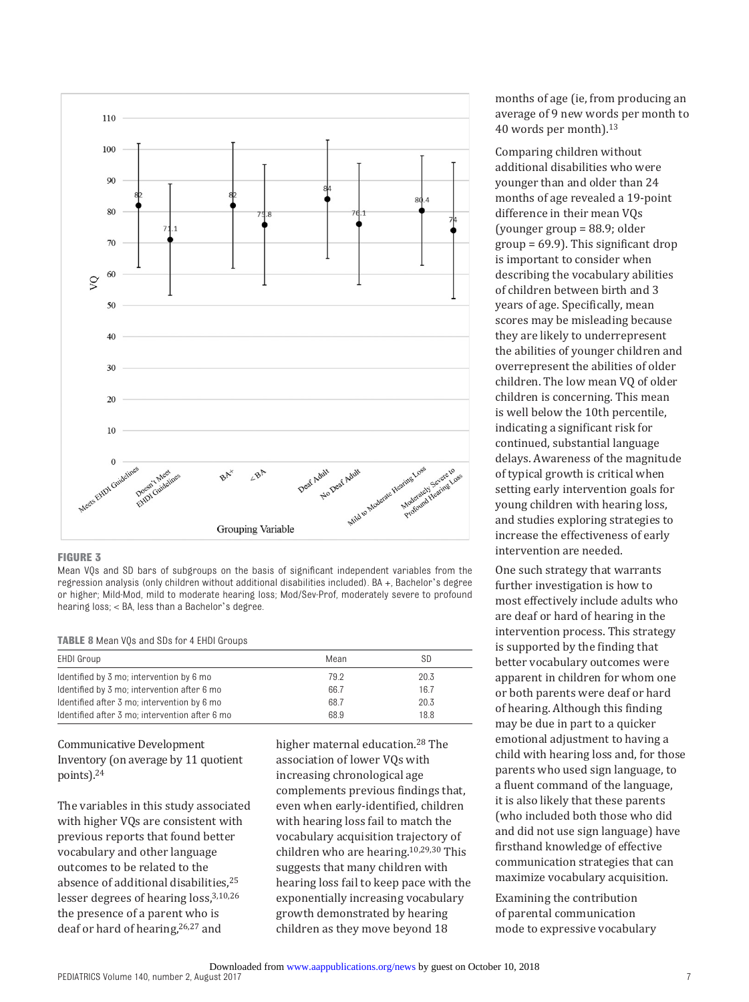

#### <span id="page-6-0"></span>**FIGURE 3**

Mean VQs and SD bars of subgroups on the basis of significant independent variables from the regression analysis (only children without additional disabilities included). BA +, Bachelor's degree or higher; Mild-Mod, mild to moderate hearing loss; Mod/Sev-Prof, moderately severe to profound hearing loss; < BA, less than a Bachelor's degree.

#### **TABLE 8** Mean VQs and SDs for 4 EHDI Groups

| EHDI Group                                     | Mean | SD   |
|------------------------------------------------|------|------|
| Identified by 3 mo; intervention by 6 mo       | 79.2 | 20.3 |
| Identified by 3 mo; intervention after 6 mo    | 66.7 | 16.7 |
| Identified after 3 mo; intervention by 6 mo    | 68.7 | 20.3 |
| Identified after 3 mo; intervention after 6 mo | 68.9 | 18.8 |

Communicative Development Inventory (on average by 11 quotient points).[24](#page-8-22)

The variables in this study associated with higher VQs are consistent with previous reports that found better vocabulary and other language outcomes to be related to the absence of additional disabilities.<sup>25</sup> lesser degrees of hearing loss, [3,](#page-8-1)[10](#page-8-8),[26](#page-8-24) the presence of a parent who is deaf or hard of hearing,[26](#page-8-24),[27](#page-9-0) and

higher maternal education. [28](#page-9-1) The association of lower VQs with increasing chronological age complements previous findings that, even when early-identified, children with hearing loss fail to match the vocabulary acquisition trajectory of children who are hearing. [10](#page-8-8),[29](#page-9-2)[,30](#page-9-3) This suggests that many children with hearing loss fail to keep pace with the exponentially increasing vocabulary growth demonstrated by hearing children as they move beyond 18

months of age (ie, from producing an average of 9 new words per month to 40 words per month). [13](#page-8-11)

Comparing children without additional disabilities who were younger than and older than 24 months of age revealed a 19-point difference in their mean VQs (younger group = 88.9; older group = 69.9). This significant drop is important to consider when describing the vocabulary abilities of children between birth and 3 years of age. Specifically, mean scores may be misleading because they are likely to underrepresent the abilities of younger children and overrepresent the abilities of older children. The low mean VQ of older children is concerning. This mean is well below the 10th percentile, indicating a significant risk for continued, substantial language delays. Awareness of the magnitude of typical growth is critical when setting early intervention goals for young children with hearing loss, and studies exploring strategies to increase the effectiveness of early intervention are needed.

One such strategy that warrants further investigation is how to most effectively include adults who are deaf or hard of hearing in the intervention process. This strategy is supported by the finding that better vocabulary outcomes were apparent in children for whom one or both parents were deaf or hard of hearing. Although this finding may be due in part to a quicker emotional adjustment to having a child with hearing loss and, for those parents who used sign language, to a fluent command of the language, it is also likely that these parents (who included both those who did and did not use sign language) have firsthand knowledge of effective communication strategies that can maximize vocabulary acquisition.

Examining the contribution of parental communication mode to expressive vocabulary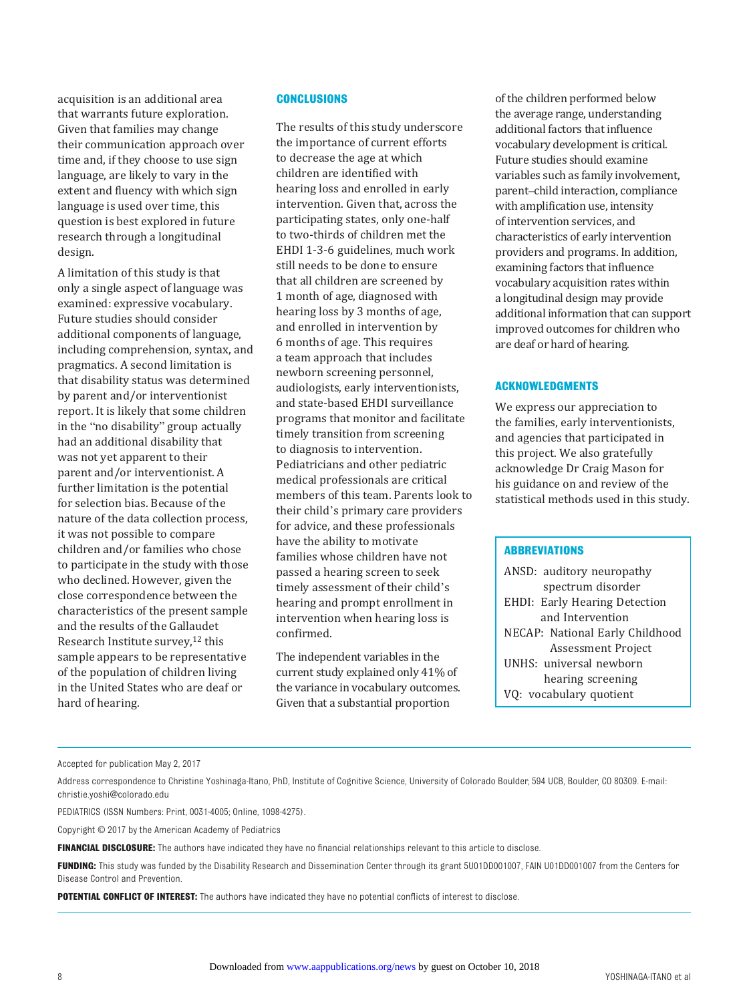acquisition is an additional area that warrants future exploration. Given that families may change their communication approach over time and, if they choose to use sign language, are likely to vary in the extent and fluency with which sign language is used over time, this question is best explored in future research through a longitudinal design.

A limitation of this study is that only a single aspect of language was examined: expressive vocabulary. Future studies should consider additional components of language, including comprehension, syntax, and pragmatics. A second limitation is that disability status was determined by parent and/or interventionist report. It is likely that some children in the "no disability" group actually had an additional disability that was not yet apparent to their parent and/or interventionist. A further limitation is the potential for selection bias. Because of the nature of the data collection process, it was not possible to compare children and/or families who chose to participate in the study with those who declined. However, given the close correspondence between the characteristics of the present sample and the results of the Gallaudet Research Institute survey,<sup>12</sup> this sample appears to be representative of the population of children living in the United States who are deaf or hard of hearing.

# **Conclusions**

The results of this study underscore the importance of current efforts to decrease the age at which children are identified with hearing loss and enrolled in early intervention. Given that, across the participating states, only one-half to two-thirds of children met the EHDI 1-3-6 guidelines, much work still needs to be done to ensure that all children are screened by 1 month of age, diagnosed with hearing loss by 3 months of age, and enrolled in intervention by 6 months of age. This requires a team approach that includes newborn screening personnel, audiologists, early interventionists, and state-based EHDI surveillance programs that monitor and facilitate timely transition from screening to diagnosis to intervention. Pediatricians and other pediatric medical professionals are critical members of this team. Parents look to their child's primary care providers for advice, and these professionals have the ability to motivate families whose children have not passed a hearing screen to seek timely assessment of their child's hearing and prompt enrollment in intervention when hearing loss is confirmed.

The independent variables in the current study explained only 41% of the variance in vocabulary outcomes. Given that a substantial proportion

of the children performed below the average range, understanding additional factors that influence vocabulary development is critical. Future studies should examine variables such as family involvement, parent–child interaction, compliance with amplification use, intensity of intervention services, and characteristics of early intervention providers and programs. In addition, examining factors that influence vocabulary acquisition rates within a longitudinal design may provide additional information that can support improved outcomes for children who are deaf or hard of hearing.

# **Acknowledgments**

We express our appreciation to the families, early interventionists, and agencies that participated in this project. We also gratefully acknowledge Dr Craig Mason for his guidance on and review of the statistical methods used in this study.

#### **Abbreviations**

ANSD: auditory neuropathy spectrum disorder EHDI: Early Hearing Detection and Intervention NECAP: National Early Childhood Assessment Project UNHS: universal newborn hearing screening VQ: vocabulary quotient

Address correspondence to Christine Yoshinaga-Itano, PhD, Institute of Cognitive Science, University of Colorado Boulder, 594 UCB, Boulder, CO 80309. E-mail: [christie.yoshi@colorado.edu](mailto:)

PEDIATRICS (ISSN Numbers: Print, 0031-4005; Online, 1098-4275).

Copyright © 2017 by the American Academy of Pediatrics

**FINANCIAL DISCLOSURE:** The authors have indicated they have no financial relationships relevant to this article to disclose.

**FUNDING:** This study was funded by the Disability Research and Dissemination Center through its grant 5U01DD001007, FAIN U01DD001007 from the Centers for Disease Control and Prevention.

**POTENTIAL CONFLICT OF INTEREST:** The authors have indicated they have no potential conflicts of interest to disclose.

Accepted for publication May 2, 2017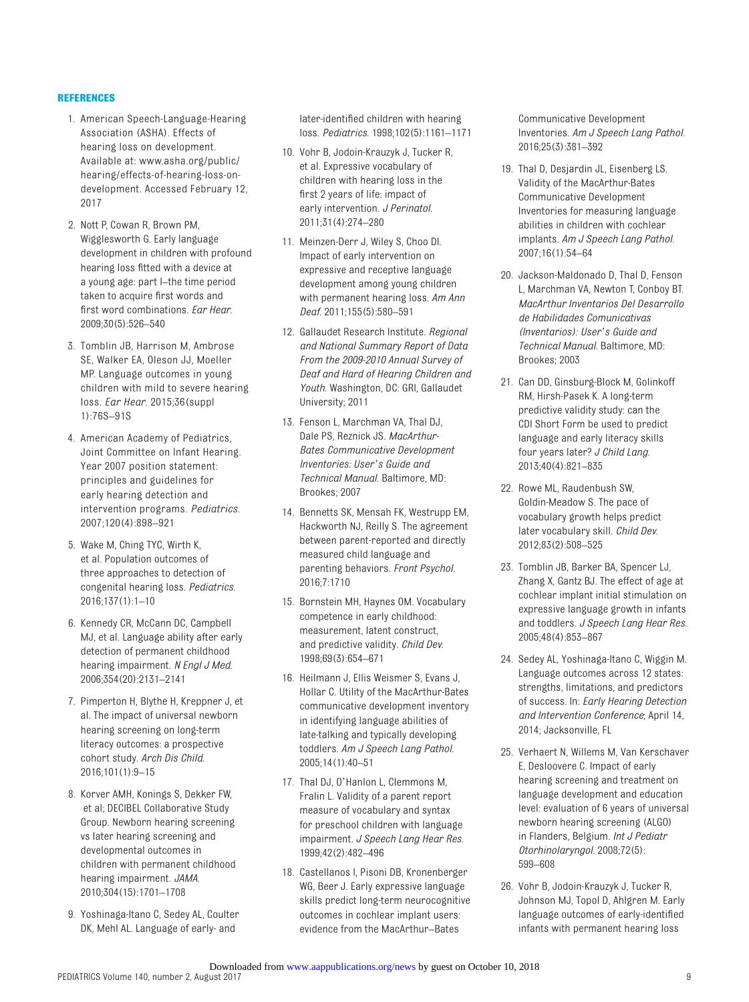#### **References**

- <span id="page-8-0"></span>1. American Speech-Language-Hearing Association (ASHA). Effects of hearing loss on development. Available at: [www.asha.org/public/](www.asha.org/public/hearing/effects-of-hearing-loss-on-development) [hearing/effects-of-hearing-loss-on](www.asha.org/public/hearing/effects-of-hearing-loss-on-development)[development](www.asha.org/public/hearing/effects-of-hearing-loss-on-development). Accessed February 12, 2017
- 2. Nott P, Cowan R, Brown PM, Wigglesworth G. Early language development in children with profound hearing loss fitted with a device at a young age: part I–the time period taken to acquire first words and first word combinations. *Ear Hear*. 2009;30(5):526–540
- <span id="page-8-1"></span>3. Tomblin JB, Harrison M, Ambrose SE, Walker EA, Oleson JJ, Moeller MP. Language outcomes in young children with mild to severe hearing loss. *Ear Hear*. 2015;36(suppl 1):76S–91S
- <span id="page-8-2"></span>4. American Academy of Pediatrics, Joint Committee on Infant Hearing. Year 2007 position statement: principles and guidelines for early hearing detection and intervention programs. *Pediatrics*. 2007;120(4):898–921
- <span id="page-8-3"></span>5. Wake M, Ching TYC, Wirth K, et al. Population outcomes of three approaches to detection of congenital hearing loss. *Pediatrics*. 2016;137(1):1–10
- <span id="page-8-4"></span>6. Kennedy CR, McCann DC, Campbell MJ, et al. Language ability after early detection of permanent childhood hearing impairment. *N Engl J Med*. 2006;354(20):2131–2141
- <span id="page-8-5"></span>7. Pimperton H, Blythe H, Kreppner J, et al. The impact of universal newborn hearing screening on long-term literacy outcomes: a prospective cohort study. *Arch Dis Child*. 2016;101(1):9–15
- <span id="page-8-6"></span>8. Korver AMH, Konings S, Dekker FW, et al; DECIBEL Collaborative Study Group. Newborn hearing screening vs later hearing screening and developmental outcomes in children with permanent childhood hearing impairment. *JAMA*. 2010;304(15):1701–1708
- <span id="page-8-7"></span>9. Yoshinaga-Itano C, Sedey AL, Coulter DK, Mehl AL. Language of early- and

later-identified children with hearing loss. *Pediatrics*. 1998;102(5):1161–1171

- <span id="page-8-8"></span>10. Vohr B, Jodoin-Krauzyk J, Tucker R, et al. Expressive vocabulary of children with hearing loss in the first 2 years of life: impact of early intervention. *J Perinatol*. 2011;31(4):274–280
- <span id="page-8-9"></span>11. Meinzen-Derr J, Wiley S, Choo DI. Impact of early intervention on expressive and receptive language development among young children with permanent hearing loss. *Am Ann Deaf*. 2011;155(5):580–591
- <span id="page-8-10"></span>12. Gallaudet Research Institute. *Regional and National Summary Report of Data From the 2009-2010 Annual Survey of Deaf and Hard of Hearing Children and Youth*. Washington, DC: GRI, Gallaudet University; 2011
- <span id="page-8-11"></span>13. Fenson L, Marchman VA, Thal DJ, Dale PS, Reznick JS. *MacArthur-Bates Communicative Development Inventories: User's Guide and Technical Manual*. Baltimore, MD: Brookes; 2007
- <span id="page-8-12"></span>14. Bennetts SK, Mensah FK, Westrupp EM, Hackworth NJ, Reilly S. The agreement between parent-reported and directly measured child language and parenting behaviors. *Front Psychol*. 2016;7:1710
- <span id="page-8-13"></span>15. Bornstein MH, Haynes OM. Vocabulary competence in early childhood: measurement, latent construct, and predictive validity. *Child Dev*. 1998;69(3):654–671
- <span id="page-8-14"></span>16. Heilmann J, Ellis Weismer S, Evans J, Hollar C. Utility of the MacArthur-Bates communicative development inventory in identifying language abilities of late-talking and typically developing toddlers. *Am J Speech Lang Pathol*. 2005;14(1):40–51
- <span id="page-8-15"></span>17. Thal DJ, O'Hanlon L, Clemmons M, Fralin L. Validity of a parent report measure of vocabulary and syntax for preschool children with language impairment. *J Speech Lang Hear Res*. 1999;42(2):482–496
- <span id="page-8-16"></span>18. Castellanos I, Pisoni DB, Kronenberger WG, Beer J. Early expressive language skills predict long-term neurocognitive outcomes in cochlear implant users: evidence from the MacArthur–Bates

Communicative Development Inventories. *Am J Speech Lang Pathol*. 2016;25(3):381–392

- <span id="page-8-17"></span>19. Thal D, Desjardin JL, Eisenberg LS. Validity of the MacArthur-Bates Communicative Development Inventories for measuring language abilities in children with cochlear implants. *Am J Speech Lang Pathol*. 2007;16(1):54–64
- <span id="page-8-18"></span>20. Jackson-Maldonado D, Thal D, Fenson L, Marchman VA, Newton T, Conboy BT. *MacArthur Inventarios Del Desarrollo de Habilidades Comunicativas (Inventarios): User's Guide and Technical Manual*. Baltimore, MD: Brookes; 2003
- <span id="page-8-19"></span>21. Can DD, Ginsburg-Block M, Golinkoff RM, Hirsh-Pasek K. A long-term predictive validity study: can the CDI Short Form be used to predict language and early literacy skills four years later? *J Child Lang*. 2013;40(4):821–835
- <span id="page-8-20"></span>22. Rowe ML, Raudenbush SW, Goldin-Meadow S. The pace of vocabulary growth helps predict later vocabulary skill. *Child Dev*. 2012;83(2):508–525
- <span id="page-8-21"></span>23. Tomblin JB, Barker BA, Spencer LJ, Zhang X, Gantz BJ. The effect of age at cochlear implant initial stimulation on expressive language growth in infants and toddlers. *J Speech Lang Hear Res*. 2005;48(4):853–867
- <span id="page-8-22"></span>24. Sedey AL, Yoshinaga-Itano C, Wiggin M. Language outcomes across 12 states: strengths, limitations, and predictors of success. In: *Early Hearing Detection and Intervention Conference*; April 14, 2014; Jacksonville, FL
- <span id="page-8-23"></span>25. Verhaert N, Willems M, Van Kerschaver E, Desloovere C. Impact of early hearing screening and treatment on language development and education level: evaluation of 6 years of universal newborn hearing screening (ALGO) in Flanders, Belgium. *Int J Pediatr Otorhinolaryngol*. 2008;72(5): 599–608
- <span id="page-8-24"></span>26. Vohr B, Jodoin-Krauzyk J, Tucker R, Johnson MJ, Topol D, Ahlgren M. Early language outcomes of early-identified infants with permanent hearing loss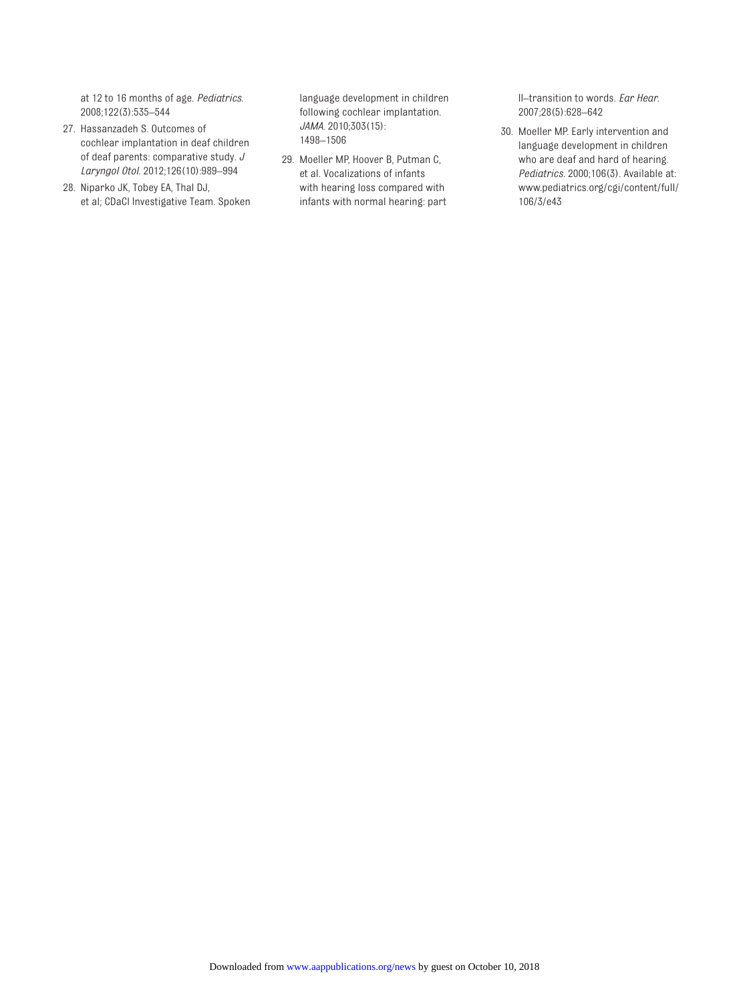at 12 to 16 months of age. *Pediatrics*. 2008;122(3):535–544

- <span id="page-9-0"></span>27. Hassanzadeh S. Outcomes of cochlear implantation in deaf children of deaf parents: comparative study. *J Laryngol Otol*. 2012;126(10):989–994
- <span id="page-9-1"></span>28. Niparko JK, Tobey EA, Thal DJ, et al; CDaCI Investigative Team. Spoken

language development in children following cochlear implantation. *JAMA*. 2010;303(15): 1498–1506

<span id="page-9-2"></span>29. Moeller MP, Hoover B, Putman C, et al. Vocalizations of infants with hearing loss compared with infants with normal hearing: part

II–transition to words. *Ear Hear*. 2007;28(5):628–642

<span id="page-9-3"></span>30. Moeller MP. Early intervention and language development in children who are deaf and hard of hearing. *Pediatrics*. 2000;106(3). Available at: [www.pediatrics.org/cgi/content/full/](www.pediatrics.org/cgi/content/full/106/3/e43) [106/3/e43](www.pediatrics.org/cgi/content/full/106/3/e43)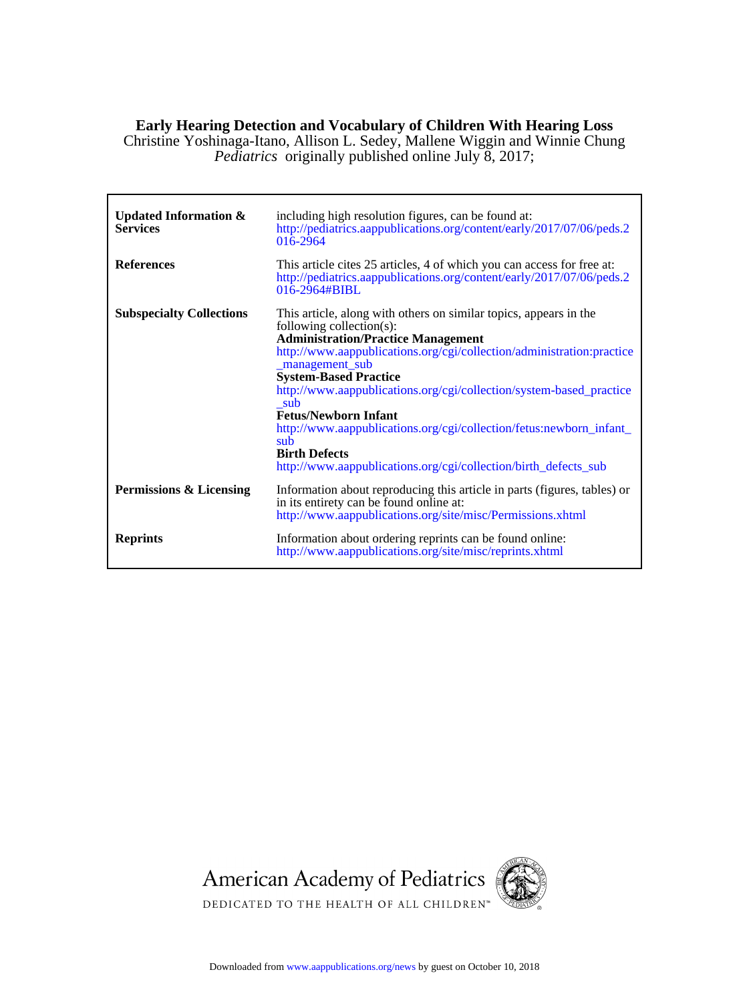# **Early Hearing Detection and Vocabulary of Children With Hearing Loss**

*Pediatrics* originally published online July 8, 2017; Christine Yoshinaga-Itano, Allison L. Sedey, Mallene Wiggin and Winnie Chung

| <b>Updated Information &amp;</b><br><b>Services</b> | including high resolution figures, can be found at:<br>http://pediatrics.aappublications.org/content/early/2017/07/06/peds.2<br>016-2964                                                                                                                                                                                                                                                                                                                                                                                                                     |
|-----------------------------------------------------|--------------------------------------------------------------------------------------------------------------------------------------------------------------------------------------------------------------------------------------------------------------------------------------------------------------------------------------------------------------------------------------------------------------------------------------------------------------------------------------------------------------------------------------------------------------|
| <b>References</b>                                   | This article cites 25 articles, 4 of which you can access for free at:<br>http://pediatrics.aappublications.org/content/early/2017/07/06/peds.2<br>$016 - 2964 \# BIBL$                                                                                                                                                                                                                                                                                                                                                                                      |
| <b>Subspecialty Collections</b>                     | This article, along with others on similar topics, appears in the<br>following collection(s):<br><b>Administration/Practice Management</b><br>http://www.aappublications.org/cgi/collection/administration:practice<br>_management_sub<br><b>System-Based Practice</b><br>http://www.aappublications.org/cgi/collection/system-based_practice<br>sub<br><b>Fetus/Newborn Infant</b><br>http://www.aappublications.org/cgi/collection/fetus:newborn_infant_<br>sub<br><b>Birth Defects</b><br>http://www.aappublications.org/cgi/collection/birth_defects_sub |
| Permissions & Licensing                             | Information about reproducing this article in parts (figures, tables) or<br>in its entirety can be found online at:<br>http://www.aappublications.org/site/misc/Permissions.xhtml                                                                                                                                                                                                                                                                                                                                                                            |
| <b>Reprints</b>                                     | Information about ordering reprints can be found online:<br>http://www.aappublications.org/site/misc/reprints.xhtml                                                                                                                                                                                                                                                                                                                                                                                                                                          |